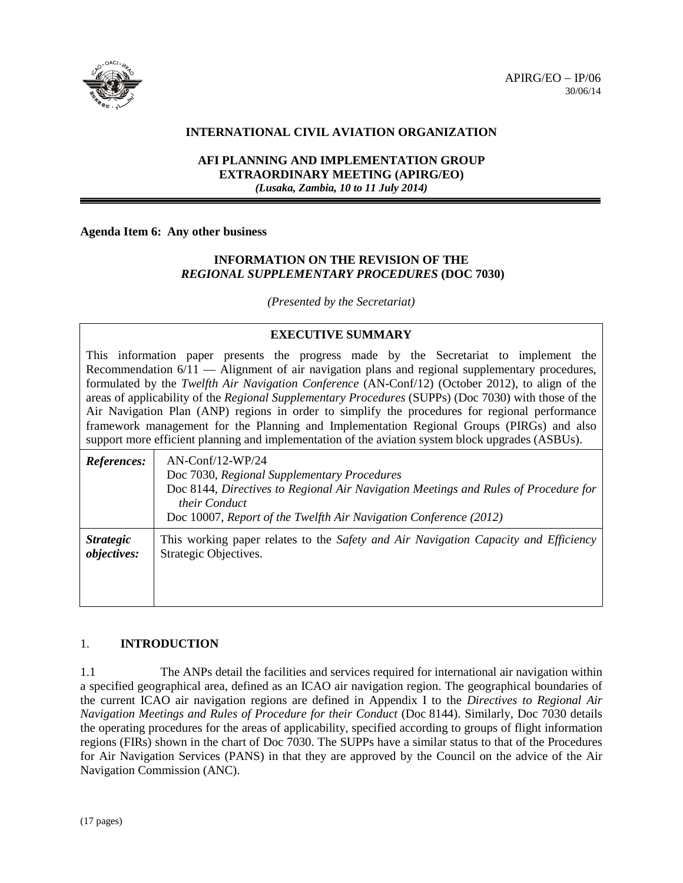

## **INTERNATIONAL CIVIL AVIATION ORGANIZATION**

## **AFI PLANNING AND IMPLEMENTATION GROUP EXTRAORDINARY MEETING (APIRG/EO)** *(Lusaka, Zambia, 10 to 11 July 2014)*

#### **Agenda Item 6: Any other business**

### **INFORMATION ON THE REVISION OF THE** *REGIONAL SUPPLEMENTARY PROCEDURES* **(DOC 7030)**

*(Presented by the Secretariat)*

# **EXECUTIVE SUMMARY**

This information paper presents the progress made by the Secretariat to implement the Recommendation 6/11 — Alignment of air navigation plans and regional supplementary procedures, formulated by the *Twelfth Air Navigation Conference* (AN-Conf/12) (October 2012), to align of the areas of applicability of the *Regional Supplementary Procedures* (SUPPs) (Doc 7030) with those of the Air Navigation Plan (ANP) regions in order to simplify the procedures for regional performance framework management for the Planning and Implementation Regional Groups (PIRGs) and also support more efficient planning and implementation of the aviation system block upgrades (ASBUs).

| References:      | $AN$ -Conf/12-WP/24<br>Doc 7030, Regional Supplementary Procedures<br>Doc 8144, Directives to Regional Air Navigation Meetings and Rules of Procedure for<br>their Conduct<br>Doc 10007, Report of the Twelfth Air Navigation Conference (2012) |
|------------------|-------------------------------------------------------------------------------------------------------------------------------------------------------------------------------------------------------------------------------------------------|
| <i>Strategic</i> | This working paper relates to the Safety and Air Navigation Capacity and Efficiency                                                                                                                                                             |
| objectives:      | Strategic Objectives.                                                                                                                                                                                                                           |

# 1. **INTRODUCTION**

1.1 The ANPs detail the facilities and services required for international air navigation within a specified geographical area, defined as an ICAO air navigation region. The geographical boundaries of the current ICAO air navigation regions are defined in Appendix I to the *Directives to Regional Air Navigation Meetings and Rules of Procedure for their Conduct* (Doc 8144). Similarly, Doc 7030 details the operating procedures for the areas of applicability, specified according to groups of flight information regions (FIRs) shown in the chart of Doc 7030. The SUPPs have a similar status to that of the Procedures for Air Navigation Services (PANS) in that they are approved by the Council on the advice of the Air Navigation Commission (ANC).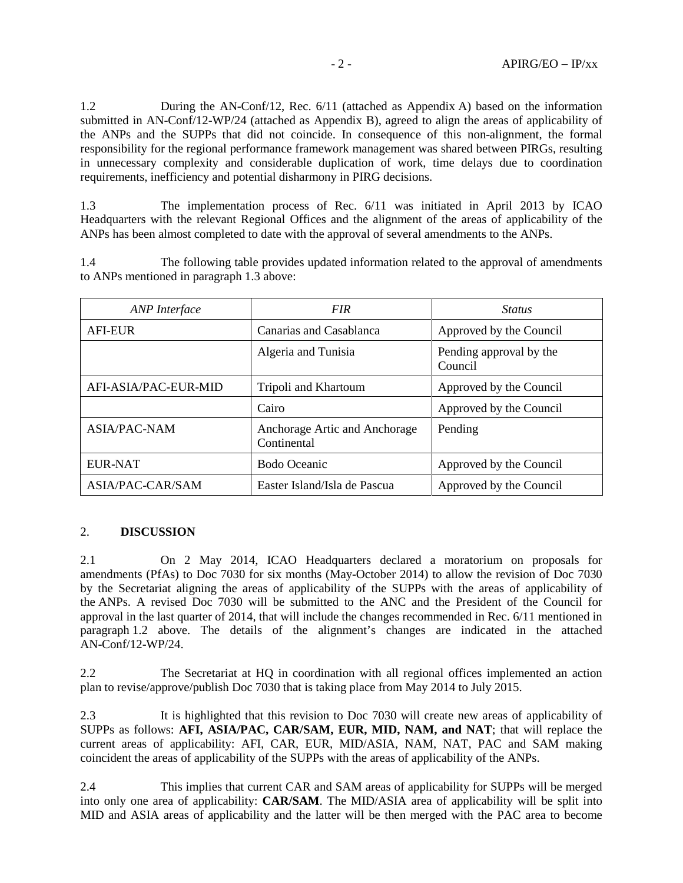1.2 During the AN-Conf/12, Rec. 6/11 (attached as Appendix A) based on the information submitted in AN-Conf/12-WP/24 (attached as Appendix B), agreed to align the areas of applicability of the ANPs and the SUPPs that did not coincide. In consequence of this non-alignment, the formal responsibility for the regional performance framework management was shared between PIRGs, resulting in unnecessary complexity and considerable duplication of work, time delays due to coordination requirements, inefficiency and potential disharmony in PIRG decisions.

1.3 The implementation process of Rec. 6/11 was initiated in April 2013 by ICAO Headquarters with the relevant Regional Offices and the alignment of the areas of applicability of the ANPs has been almost completed to date with the approval of several amendments to the ANPs.

1.4 The following table provides updated information related to the approval of amendments to ANPs mentioned in paragraph 1.3 above:

| ANP Interface           | <b>FIR</b>                                   | <b>Status</b>                      |
|-------------------------|----------------------------------------------|------------------------------------|
| <b>AFI-EUR</b>          | Canarias and Casablanca                      | Approved by the Council            |
|                         | Algeria and Tunisia                          | Pending approval by the<br>Council |
| AFI-ASIA/PAC-EUR-MID    | Tripoli and Khartoum                         | Approved by the Council            |
|                         | Cairo                                        | Approved by the Council            |
| <b>ASIA/PAC-NAM</b>     | Anchorage Artic and Anchorage<br>Continental | Pending                            |
| <b>EUR-NAT</b>          | Bodo Oceanic                                 | Approved by the Council            |
| <b>ASIA/PAC-CAR/SAM</b> | Easter Island/Isla de Pascua                 | Approved by the Council            |

#### 2. **DISCUSSION**

2.1 On 2 May 2014, ICAO Headquarters declared a moratorium on proposals for amendments (PfAs) to Doc 7030 for six months (May-October 2014) to allow the revision of Doc 7030 by the Secretariat aligning the areas of applicability of the SUPPs with the areas of applicability of the ANPs. A revised Doc 7030 will be submitted to the ANC and the President of the Council for approval in the last quarter of 2014, that will include the changes recommended in Rec. 6/11 mentioned in paragraph 1.2 above. The details of the alignment's changes are indicated in the attached AN-Conf/12-WP/24.

2.2 The Secretariat at HQ in coordination with all regional offices implemented an action plan to revise/approve/publish Doc 7030 that is taking place from May 2014 to July 2015.

2.3 It is highlighted that this revision to Doc 7030 will create new areas of applicability of SUPPs as follows: **AFI, ASIA/PAC, CAR/SAM, EUR, MID, NAM, and NAT**; that will replace the current areas of applicability: AFI, CAR, EUR, MID/ASIA, NAM, NAT, PAC and SAM making coincident the areas of applicability of the SUPPs with the areas of applicability of the ANPs.

2.4 This implies that current CAR and SAM areas of applicability for SUPPs will be merged into only one area of applicability: **CAR/SAM**. The MID/ASIA area of applicability will be split into MID and ASIA areas of applicability and the latter will be then merged with the PAC area to become